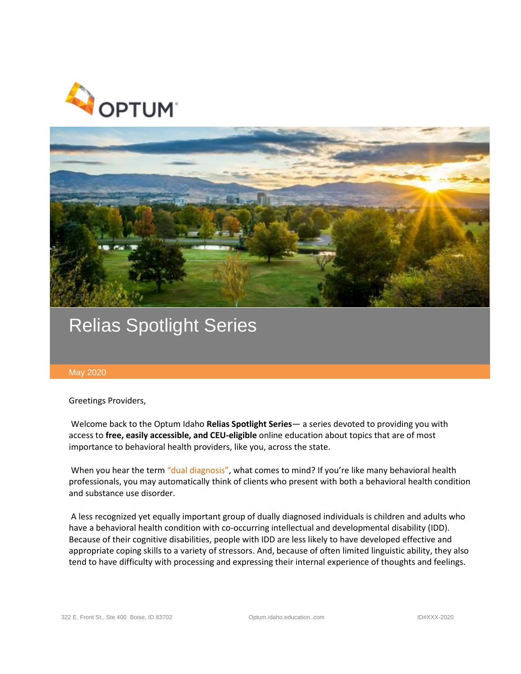



## Relias Spotlight Series

## May 2020

Greetings Providers,

Welcome back to the Optum Idaho **Relias Spotlight Series**— a series devoted to providing you with access to **free, easily accessible, and CEU-eligible** online education about topics that are of most importance to behavioral health providers, like you, across the state.

When you hear the term "dual diagnosis", what comes to mind? If you're like many behavioral health professionals, you may automatically think of clients who present with both a behavioral health condition and substance use disorder.

A less recognized yet equally important group of dually diagnosed individuals is children and adults who have a behavioral health condition with co-occurring intellectual and developmental disability (IDD). Because of their cognitive disabilities, people with IDD are less likely to have developed effective and appropriate coping skills to a variety of stressors. And, because of often limited linguistic ability, they also tend to have difficulty with processing and expressing their internal experience of thoughts and feelings.